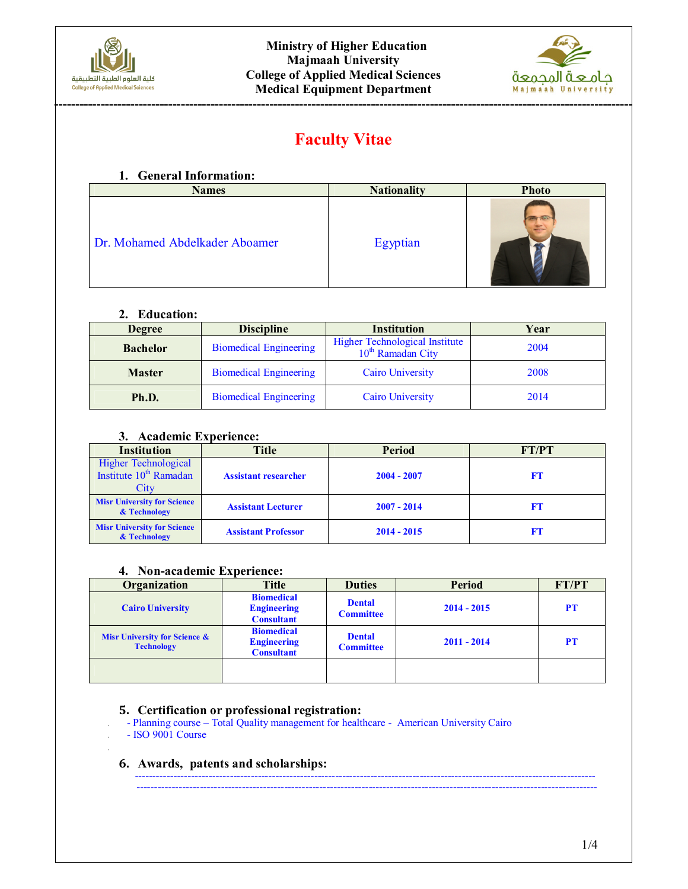



# **Faculty Vitae**

## **1. General Information:**

| <b>Names</b>                   | <b>Nationality</b> | <b>Photo</b> |
|--------------------------------|--------------------|--------------|
| Dr. Mohamed Abdelkader Aboamer | Egyptian           |              |

#### **2. Education:**

| <b>Degree</b>   | <b>Discipline</b>             | <b>Institution</b><br>Year                                             |      |  |
|-----------------|-------------------------------|------------------------------------------------------------------------|------|--|
| <b>Bachelor</b> | <b>Biomedical Engineering</b> | <b>Higher Technological Institute</b><br>10 <sup>th</sup> Ramadan City | 2004 |  |
| <b>Master</b>   | <b>Biomedical Engineering</b> | <b>Cairo University</b>                                                | 2008 |  |
| Ph.D.           | <b>Biomedical Engineering</b> | <b>Cairo University</b>                                                | 2014 |  |

#### **3. Academic Experience:**

| <b>Institution</b>                                          | Title                       | <b>Period</b> | FT/PT |  |
|-------------------------------------------------------------|-----------------------------|---------------|-------|--|
| Higher Technological<br>Institute $10^{th}$ Ramadan<br>City | <b>Assistant researcher</b> | $2004 - 2007$ | FT    |  |
| <b>Misr University for Science</b><br>& Technology          | <b>Assistant Lecturer</b>   | $2007 - 2014$ | FТ    |  |
| <b>Misr University for Science</b><br>& Technology          | <b>Assistant Professor</b>  | $2014 - 2015$ | FT    |  |

## **4. Non-academic Experience:**

| Organization                                                  | <b>Title</b>                                                 | <b>Duties</b>                     | <b>Period</b> | FT/PT     |
|---------------------------------------------------------------|--------------------------------------------------------------|-----------------------------------|---------------|-----------|
| <b>Cairo University</b>                                       | <b>Biomedical</b><br><b>Engineering</b><br><b>Consultant</b> | <b>Dental</b><br><b>Committee</b> | $2014 - 2015$ | <b>PT</b> |
| <b>Misr University for Science &amp;</b><br><b>Technology</b> | <b>Biomedical</b><br><b>Engineering</b><br><b>Consultant</b> | <b>Dental</b><br><b>Committee</b> | $2011 - 2014$ | <b>PT</b> |
|                                                               |                                                              |                                   |               |           |

-----------------------------------------------------------------------------------------------------------------------------------

#### **5. Certification or professional registration:**

-----------------------------------------------------------------------------------------------------------------------------------

- Planning course Total Quality management for healthcare American University Cairo
	- ISO 9001 Course

# **6. Awards, patents and scholarships:**